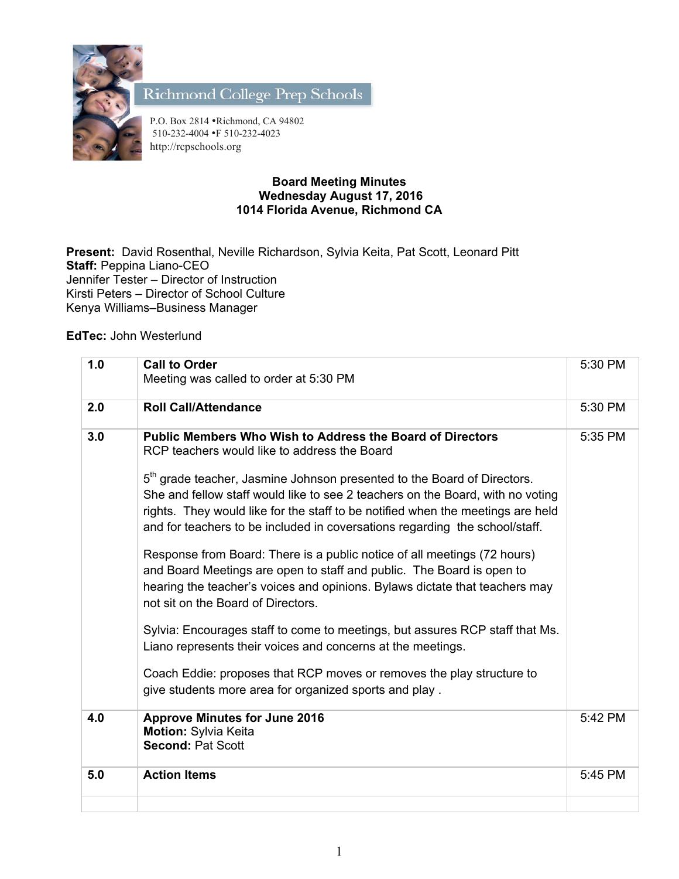

Richmond College Prep Schools

P.O. Box 2814 •Richmond, CA 94802 510-232-4004 •F 510-232-4023 http://rcpschools.org

## **Board Meeting Minutes Wednesday August 17, 2016 1014 Florida Avenue, Richmond CA**

**Present:** David Rosenthal, Neville Richardson, Sylvia Keita, Pat Scott, Leonard Pitt **Staff:** Peppina Liano-CEO Jennifer Tester – Director of Instruction Kirsti Peters – Director of School Culture Kenya Williams–Business Manager

**EdTec:** John Westerlund

| 1.0 | <b>Call to Order</b><br>Meeting was called to order at 5:30 PM                                                                                                                                                                                                                                                                                                                                                                                                                                                                                                                                                                                                                                                                                                                                                                                                                                                                                                                                                          | 5:30 PM |
|-----|-------------------------------------------------------------------------------------------------------------------------------------------------------------------------------------------------------------------------------------------------------------------------------------------------------------------------------------------------------------------------------------------------------------------------------------------------------------------------------------------------------------------------------------------------------------------------------------------------------------------------------------------------------------------------------------------------------------------------------------------------------------------------------------------------------------------------------------------------------------------------------------------------------------------------------------------------------------------------------------------------------------------------|---------|
| 2.0 | <b>Roll Call/Attendance</b>                                                                                                                                                                                                                                                                                                                                                                                                                                                                                                                                                                                                                                                                                                                                                                                                                                                                                                                                                                                             | 5:30 PM |
| 3.0 | <b>Public Members Who Wish to Address the Board of Directors</b><br>RCP teachers would like to address the Board<br>5 <sup>th</sup> grade teacher, Jasmine Johnson presented to the Board of Directors.<br>She and fellow staff would like to see 2 teachers on the Board, with no voting<br>rights. They would like for the staff to be notified when the meetings are held<br>and for teachers to be included in coversations regarding the school/staff.<br>Response from Board: There is a public notice of all meetings (72 hours)<br>and Board Meetings are open to staff and public. The Board is open to<br>hearing the teacher's voices and opinions. Bylaws dictate that teachers may<br>not sit on the Board of Directors.<br>Sylvia: Encourages staff to come to meetings, but assures RCP staff that Ms.<br>Liano represents their voices and concerns at the meetings.<br>Coach Eddie: proposes that RCP moves or removes the play structure to<br>give students more area for organized sports and play. | 5:35 PM |
| 4.0 | <b>Approve Minutes for June 2016</b><br><b>Motion: Sylvia Keita</b><br><b>Second: Pat Scott</b>                                                                                                                                                                                                                                                                                                                                                                                                                                                                                                                                                                                                                                                                                                                                                                                                                                                                                                                         | 5:42 PM |
| 5.0 | <b>Action Items</b>                                                                                                                                                                                                                                                                                                                                                                                                                                                                                                                                                                                                                                                                                                                                                                                                                                                                                                                                                                                                     | 5:45 PM |
|     |                                                                                                                                                                                                                                                                                                                                                                                                                                                                                                                                                                                                                                                                                                                                                                                                                                                                                                                                                                                                                         |         |